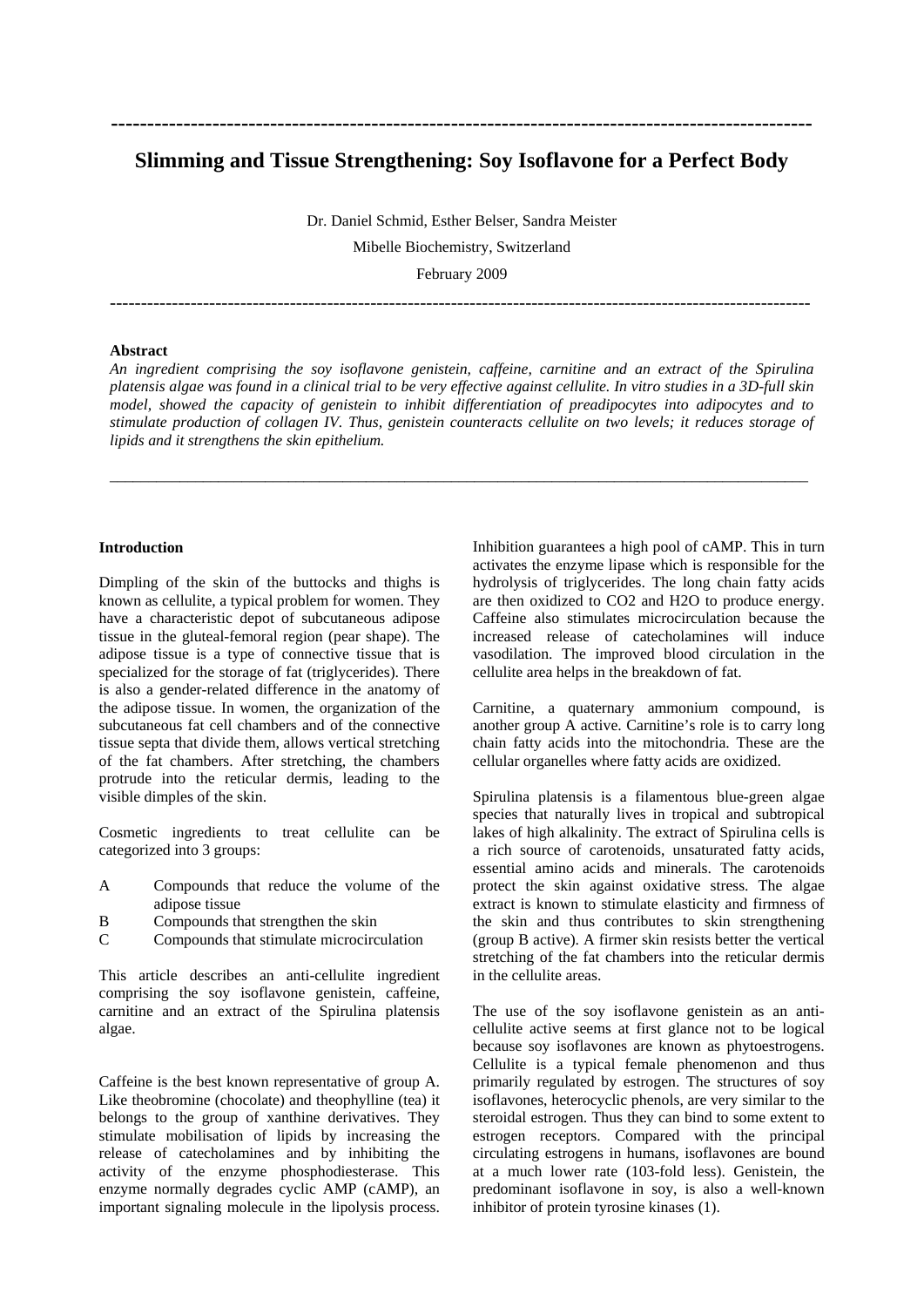# **Slimming and Tissue Strengthening: Soy Isoflavone for a Perfect Body**

**-------------------------------------------------------------------------------------------------** 

Dr. Daniel Schmid, Esther Belser, Sandra Meister Mibelle Biochemistry, Switzerland February 2009

## **Abstract**

*An ingredient comprising the soy isoflavone genistein, caffeine, carnitine and an extract of the Spirulina platensis algae was found in a clinical trial to be very effective against cellulite. In vitro studies in a 3D-full skin model, showed the capacity of genistein to inhibit differentiation of preadipocytes into adipocytes and to stimulate production of collagen IV. Thus, genistein counteracts cellulite on two levels; it reduces storage of lipids and it strengthens the skin epithelium.* 

\_\_\_\_\_\_\_\_\_\_\_\_\_\_\_\_\_\_\_\_\_\_\_\_\_\_\_\_\_\_\_\_\_\_\_\_\_\_\_\_\_\_\_\_\_\_\_\_\_\_\_\_\_\_\_\_\_\_\_\_\_\_\_\_\_\_\_\_\_\_\_\_\_\_\_\_\_\_\_\_\_\_\_\_\_\_\_\_\_\_

#### **Introduction**

Dimpling of the skin of the buttocks and thighs is known as cellulite, a typical problem for women. They have a characteristic depot of subcutaneous adipose tissue in the gluteal-femoral region (pear shape). The adipose tissue is a type of connective tissue that is specialized for the storage of fat (triglycerides). There is also a gender-related difference in the anatomy of the adipose tissue. In women, the organization of the subcutaneous fat cell chambers and of the connective tissue septa that divide them, allows vertical stretching of the fat chambers. After stretching, the chambers protrude into the reticular dermis, leading to the visible dimples of the skin.

Cosmetic ingredients to treat cellulite can be categorized into 3 groups:

- A Compounds that reduce the volume of the adipose tissue
- B Compounds that strengthen the skin
- C Compounds that stimulate microcirculation

This article describes an anti-cellulite ingredient comprising the soy isoflavone genistein, caffeine, carnitine and an extract of the Spirulina platensis algae.

Caffeine is the best known representative of group A. Like theobromine (chocolate) and theophylline (tea) it belongs to the group of xanthine derivatives. They stimulate mobilisation of lipids by increasing the release of catecholamines and by inhibiting the activity of the enzyme phosphodiesterase. This enzyme normally degrades cyclic AMP (cAMP), an important signaling molecule in the lipolysis process. Inhibition guarantees a high pool of cAMP. This in turn activates the enzyme lipase which is responsible for the hydrolysis of triglycerides. The long chain fatty acids are then oxidized to CO2 and H2O to produce energy. Caffeine also stimulates microcirculation because the increased release of catecholamines will induce vasodilation. The improved blood circulation in the cellulite area helps in the breakdown of fat.

Carnitine, a quaternary ammonium compound, is another group A active. Carnitine's role is to carry long chain fatty acids into the mitochondria. These are the cellular organelles where fatty acids are oxidized.

Spirulina platensis is a filamentous blue-green algae species that naturally lives in tropical and subtropical lakes of high alkalinity. The extract of Spirulina cells is a rich source of carotenoids, unsaturated fatty acids, essential amino acids and minerals. The carotenoids protect the skin against oxidative stress. The algae extract is known to stimulate elasticity and firmness of the skin and thus contributes to skin strengthening (group B active). A firmer skin resists better the vertical stretching of the fat chambers into the reticular dermis in the cellulite areas.

The use of the soy isoflavone genistein as an anticellulite active seems at first glance not to be logical because soy isoflavones are known as phytoestrogens. Cellulite is a typical female phenomenon and thus primarily regulated by estrogen. The structures of soy isoflavones, heterocyclic phenols, are very similar to the steroidal estrogen. Thus they can bind to some extent to estrogen receptors. Compared with the principal circulating estrogens in humans, isoflavones are bound at a much lower rate (103-fold less). Genistein, the predominant isoflavone in soy, is also a well-known inhibitor of protein tyrosine kinases (1).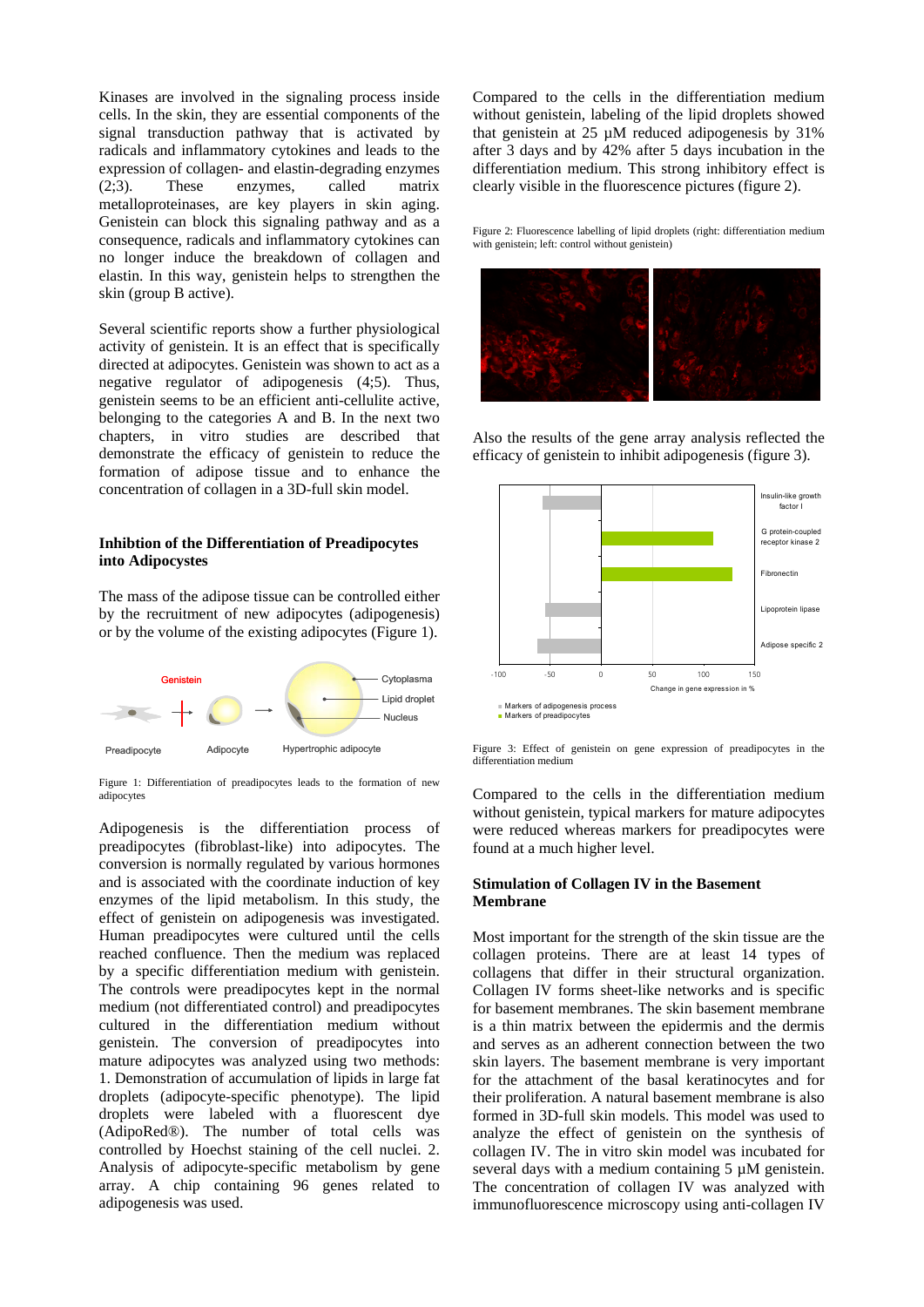Kinases are involved in the signaling process inside cells. In the skin, they are essential components of the signal transduction pathway that is activated by radicals and inflammatory cytokines and leads to the expression of collagen- and elastin-degrading enzymes (2;3). These enzymes, called matrix metalloproteinases, are key players in skin aging. Genistein can block this signaling pathway and as a consequence, radicals and inflammatory cytokines can no longer induce the breakdown of collagen and elastin. In this way, genistein helps to strengthen the skin (group B active).

Several scientific reports show a further physiological activity of genistein. It is an effect that is specifically directed at adipocytes. Genistein was shown to act as a negative regulator of adipogenesis (4;5). Thus, genistein seems to be an efficient anti-cellulite active, belonging to the categories A and B. In the next two chapters, in vitro studies are described that demonstrate the efficacy of genistein to reduce the formation of adipose tissue and to enhance the concentration of collagen in a 3D-full skin model.

# **Inhibtion of the Differentiation of Preadipocytes into Adipocystes**

The mass of the adipose tissue can be controlled either by the recruitment of new adipocytes (adipogenesis) or by the volume of the existing adipocytes (Figure 1).



Figure 1: Differentiation of preadipocytes leads to the formation of new adipocytes

Adipogenesis is the differentiation process of preadipocytes (fibroblast-like) into adipocytes. The conversion is normally regulated by various hormones and is associated with the coordinate induction of key enzymes of the lipid metabolism. In this study, the effect of genistein on adipogenesis was investigated. Human preadipocytes were cultured until the cells reached confluence. Then the medium was replaced by a specific differentiation medium with genistein. The controls were preadipocytes kept in the normal medium (not differentiated control) and preadipocytes cultured in the differentiation medium without genistein. The conversion of preadipocytes into mature adipocytes was analyzed using two methods: 1. Demonstration of accumulation of lipids in large fat droplets (adipocyte-specific phenotype). The lipid droplets were labeled with a fluorescent dye (AdipoRed®). The number of total cells was controlled by Hoechst staining of the cell nuclei. 2. Analysis of adipocyte-specific metabolism by gene array. A chip containing 96 genes related to adipogenesis was used.

Compared to the cells in the differentiation medium without genistein, labeling of the lipid droplets showed that genistein at 25 µM reduced adipogenesis by 31% after 3 days and by 42% after 5 days incubation in the differentiation medium. This strong inhibitory effect is clearly visible in the fluorescence pictures (figure 2).

Figure 2: Fluorescence labelling of lipid droplets (right: differentiation medium with genistein; left: control without genistein)



Also the results of the gene array analysis reflected the efficacy of genistein to inhibit adipogenesis (figure 3).



Figure 3: Effect of genistein on gene expression of preadipocytes in the differentiation medium

Compared to the cells in the differentiation medium without genistein, typical markers for mature adipocytes were reduced whereas markers for preadipocytes were found at a much higher level.

# **Stimulation of Collagen IV in the Basement Membrane**

Most important for the strength of the skin tissue are the collagen proteins. There are at least 14 types of collagens that differ in their structural organization. Collagen IV forms sheet-like networks and is specific for basement membranes. The skin basement membrane is a thin matrix between the epidermis and the dermis and serves as an adherent connection between the two skin layers. The basement membrane is very important for the attachment of the basal keratinocytes and for their proliferation. A natural basement membrane is also formed in 3D-full skin models. This model was used to analyze the effect of genistein on the synthesis of collagen IV. The in vitro skin model was incubated for several days with a medium containing 5  $\mu$ M genistein. The concentration of collagen IV was analyzed with immunofluorescence microscopy using anti-collagen IV